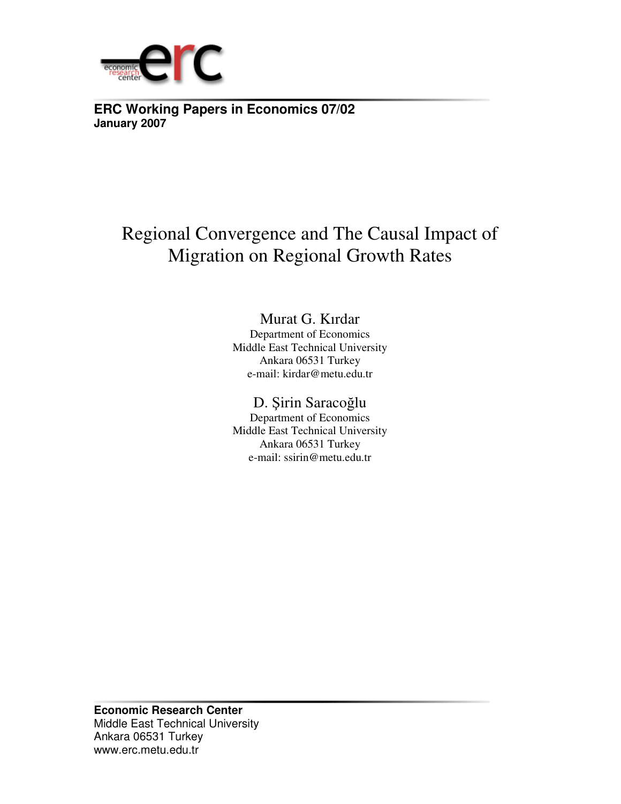

**ERC Working Papers in Economics 07/02 January 2007**

## Regional Convergence and The Causal Impact of Migration on Regional Growth Rates

## Murat G. Kırdar

Department of Economics Middle East Technical University Ankara 06531 Turkey e-mail: kirdar@metu.edu.tr

## D. Şirin Saracoğlu

Department of Economics Middle East Technical University Ankara 06531 Turkey e-mail: ssirin@metu.edu.tr

**Economic Research Center**  Middle East Technical University Ankara 06531 Turkey www.erc.metu.edu.tr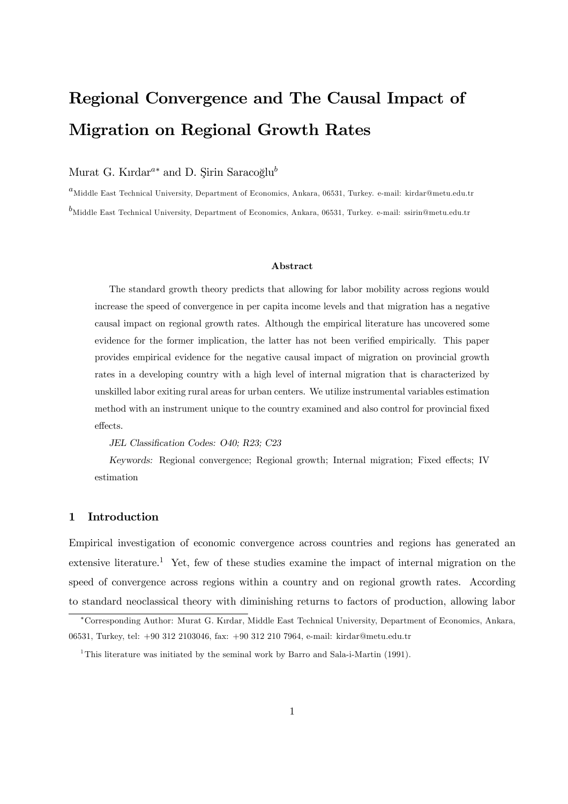# Regional Convergence and The Causal Impact of Migration on Regional Growth Rates

### Murat G. Kırdar<sup>a∗</sup> and D. Sirin Saracoğlu<sup>b</sup>

 ${}^a$ Middle East Technical University, Department of Economics, Ankara, 06531, Turkey. e-mail: kirdar@metu.edu.tr  $^b$ Middle East Technical University, Department of Economics, Ankara, 06531, Turkey. e-mail: ssirin@metu.edu.tr

#### Abstract

The standard growth theory predicts that allowing for labor mobility across regions would increase the speed of convergence in per capita income levels and that migration has a negative causal impact on regional growth rates. Although the empirical literature has uncovered some evidence for the former implication, the latter has not been verified empirically. This paper provides empirical evidence for the negative causal impact of migration on provincial growth rates in a developing country with a high level of internal migration that is characterized by unskilled labor exiting rural areas for urban centers. We utilize instrumental variables estimation method with an instrument unique to the country examined and also control for provincial fixed effects.

#### JEL Classification Codes: O40; R23; C23

Keywords: Regional convergence; Regional growth; Internal migration; Fixed effects; IV estimation

#### 1 Introduction

Empirical investigation of economic convergence across countries and regions has generated an extensive literature.<sup>1</sup> Yet, few of these studies examine the impact of internal migration on the speed of convergence across regions within a country and on regional growth rates. According to standard neoclassical theory with diminishing returns to factors of production, allowing labor

<sup>∗</sup>Corresponding Author: Murat G. Kırdar, Middle East Technical University, Department of Economics, Ankara, 06531, Turkey, tel: +90 312 2103046, fax: +90 312 210 7964, e-mail: kirdar@metu.edu.tr

<sup>&</sup>lt;sup>1</sup>This literature was initiated by the seminal work by Barro and Sala-i-Martin (1991).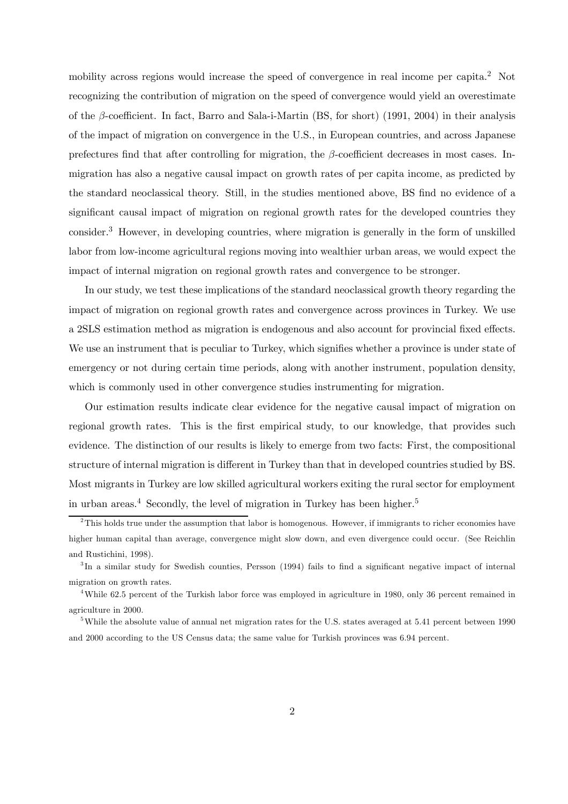mobility across regions would increase the speed of convergence in real income per capita.<sup>2</sup> Not recognizing the contribution of migration on the speed of convergence would yield an overestimate of the β-coefficient. In fact, Barro and Sala-i-Martin (BS, for short) (1991, 2004) in their analysis of the impact of migration on convergence in the U.S., in European countries, and across Japanese prefectures find that after controlling for migration, the  $\beta$ -coefficient decreases in most cases. Inmigration has also a negative causal impact on growth rates of per capita income, as predicted by the standard neoclassical theory. Still, in the studies mentioned above, BS find no evidence of a significant causal impact of migration on regional growth rates for the developed countries they consider.3 However, in developing countries, where migration is generally in the form of unskilled labor from low-income agricultural regions moving into wealthier urban areas, we would expect the impact of internal migration on regional growth rates and convergence to be stronger.

In our study, we test these implications of the standard neoclassical growth theory regarding the impact of migration on regional growth rates and convergence across provinces in Turkey. We use a 2SLS estimation method as migration is endogenous and also account for provincial fixed effects. We use an instrument that is peculiar to Turkey, which signifies whether a province is under state of emergency or not during certain time periods, along with another instrument, population density, which is commonly used in other convergence studies instrumenting for migration.

Our estimation results indicate clear evidence for the negative causal impact of migration on regional growth rates. This is the first empirical study, to our knowledge, that provides such evidence. The distinction of our results is likely to emerge from two facts: First, the compositional structure of internal migration is different in Turkey than that in developed countries studied by BS. Most migrants in Turkey are low skilled agricultural workers exiting the rural sector for employment in urban areas.<sup>4</sup> Secondly, the level of migration in Turkey has been higher.<sup>5</sup>

<sup>&</sup>lt;sup>2</sup>This holds true under the assumption that labor is homogenous. However, if immigrants to richer economies have higher human capital than average, convergence might slow down, and even divergence could occur. (See Reichlin and Rustichini, 1998).

<sup>&</sup>lt;sup>3</sup>In a similar study for Swedish counties, Persson (1994) fails to find a significant negative impact of internal migration on growth rates.

<sup>&</sup>lt;sup>4</sup>While 62.5 percent of the Turkish labor force was employed in agriculture in 1980, only 36 percent remained in agriculture in 2000.

<sup>&</sup>lt;sup>5</sup>While the absolute value of annual net migration rates for the U.S. states averaged at 5.41 percent between 1990 and 2000 according to the US Census data; the same value for Turkish provinces was 6.94 percent.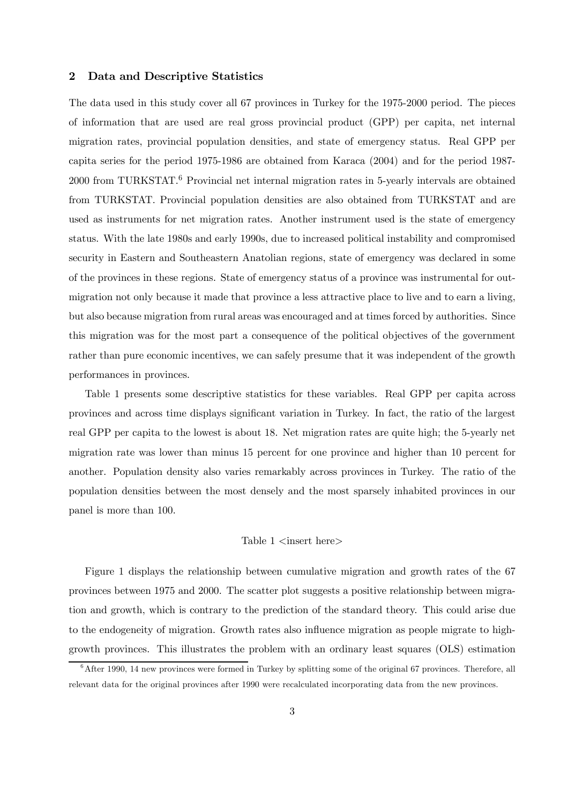#### 2 Data and Descriptive Statistics

The data used in this study cover all 67 provinces in Turkey for the 1975-2000 period. The pieces of information that are used are real gross provincial product (GPP) per capita, net internal migration rates, provincial population densities, and state of emergency status. Real GPP per capita series for the period 1975-1986 are obtained from Karaca (2004) and for the period 1987- 2000 from TURKSTAT.<sup>6</sup> Provincial net internal migration rates in 5-yearly intervals are obtained from TURKSTAT. Provincial population densities are also obtained from TURKSTAT and are used as instruments for net migration rates. Another instrument used is the state of emergency status. With the late 1980s and early 1990s, due to increased political instability and compromised security in Eastern and Southeastern Anatolian regions, state of emergency was declared in some of the provinces in these regions. State of emergency status of a province was instrumental for outmigration not only because it made that province a less attractive place to live and to earn a living, but also because migration from rural areas was encouraged and at times forced by authorities. Since this migration was for the most part a consequence of the political objectives of the government rather than pure economic incentives, we can safely presume that it was independent of the growth performances in provinces.

Table 1 presents some descriptive statistics for these variables. Real GPP per capita across provinces and across time displays significant variation in Turkey. In fact, the ratio of the largest real GPP per capita to the lowest is about 18. Net migration rates are quite high; the 5-yearly net migration rate was lower than minus 15 percent for one province and higher than 10 percent for another. Population density also varies remarkably across provinces in Turkey. The ratio of the population densities between the most densely and the most sparsely inhabited provinces in our panel is more than 100.

#### Table  $1$   $\langle$  insert here $\rangle$

Figure 1 displays the relationship between cumulative migration and growth rates of the 67 provinces between 1975 and 2000. The scatter plot suggests a positive relationship between migration and growth, which is contrary to the prediction of the standard theory. This could arise due to the endogeneity of migration. Growth rates also influence migration as people migrate to highgrowth provinces. This illustrates the problem with an ordinary least squares (OLS) estimation

 $6$ After 1990, 14 new provinces were formed in Turkey by splitting some of the original 67 provinces. Therefore, all relevant data for the original provinces after 1990 were recalculated incorporating data from the new provinces.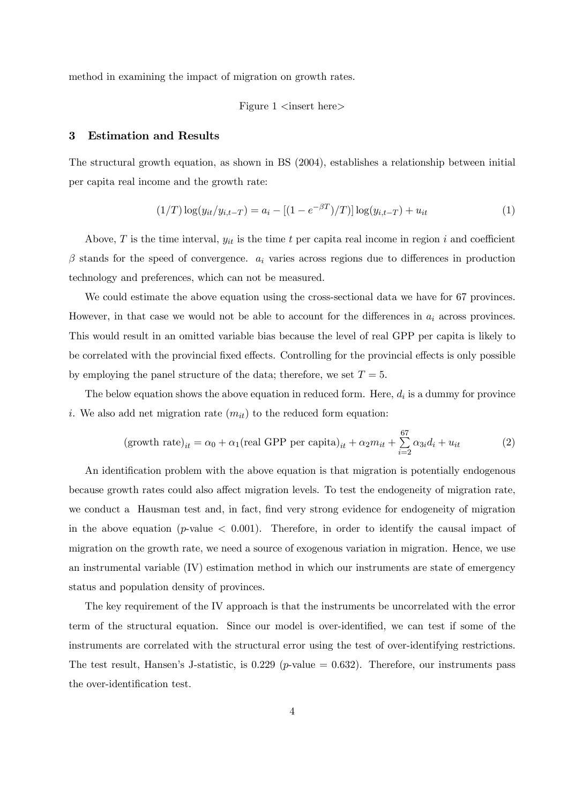method in examining the impact of migration on growth rates.

#### Figure  $1 \leq$ insert here $>$

#### 3 Estimation and Results

The structural growth equation, as shown in BS (2004), establishes a relationship between initial per capita real income and the growth rate:

$$
(1/T) \log(y_{it}/y_{i,t-T}) = a_i - [(1 - e^{-\beta T})/T)] \log(y_{i,t-T}) + u_{it}
$$
\n(1)

Above, T is the time interval,  $y_{it}$  is the time t per capita real income in region i and coefficient  $\beta$  stands for the speed of convergence.  $a_i$  varies across regions due to differences in production technology and preferences, which can not be measured.

We could estimate the above equation using the cross-sectional data we have for 67 provinces. However, in that case we would not be able to account for the differences in  $a_i$  across provinces. This would result in an omitted variable bias because the level of real GPP per capita is likely to be correlated with the provincial fixed effects. Controlling for the provincial effects is only possible by employing the panel structure of the data; therefore, we set  $T = 5$ .

The below equation shows the above equation in reduced form. Here,  $d_i$  is a dummy for province i. We also add net migration rate  $(m_{it})$  to the reduced form equation:

$$
(\text{growth rate})_{it} = \alpha_0 + \alpha_1 (\text{real GPP per capita})_{it} + \alpha_2 m_{it} + \sum_{i=2}^{67} \alpha_{3i} d_i + u_{it} \tag{2}
$$

An identification problem with the above equation is that migration is potentially endogenous because growth rates could also affect migration levels. To test the endogeneity of migration rate, we conduct a Hausman test and, in fact, find very strong evidence for endogeneity of migration in the above equation ( $p$ -value  $\langle 0.001 \rangle$ ). Therefore, in order to identify the causal impact of migration on the growth rate, we need a source of exogenous variation in migration. Hence, we use an instrumental variable (IV) estimation method in which our instruments are state of emergency status and population density of provinces.

The key requirement of the IV approach is that the instruments be uncorrelated with the error term of the structural equation. Since our model is over-identified, we can test if some of the instruments are correlated with the structural error using the test of over-identifying restrictions. The test result, Hansen's J-statistic, is  $0.229$  (*p*-value  $= 0.632$ ). Therefore, our instruments pass the over-identification test.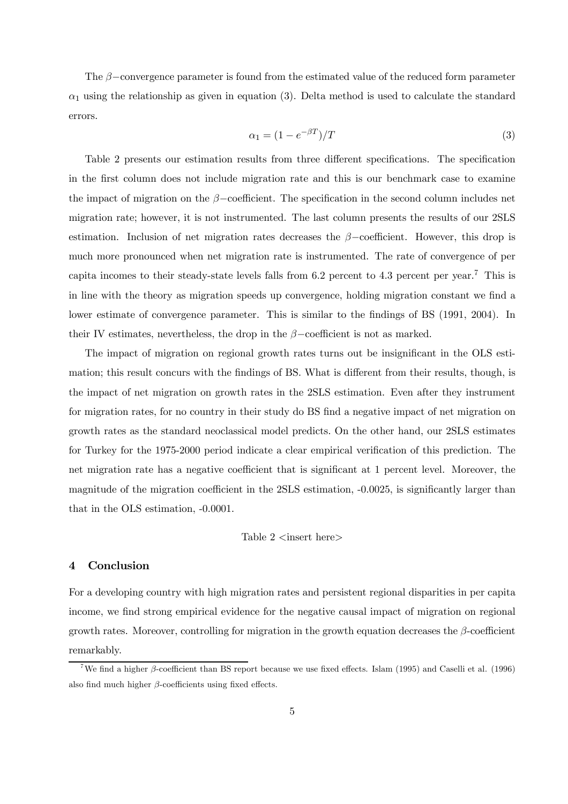The  $\beta$ –convergence parameter is found from the estimated value of the reduced form parameter  $\alpha_1$  using the relationship as given in equation (3). Delta method is used to calculate the standard errors.

$$
\alpha_1 = (1 - e^{-\beta T})/T \tag{3}
$$

Table 2 presents our estimation results from three different specifications. The specification in the first column does not include migration rate and this is our benchmark case to examine the impact of migration on the  $\beta$ −coefficient. The specification in the second column includes net migration rate; however, it is not instrumented. The last column presents the results of our 2SLS estimation. Inclusion of net migration rates decreases the  $\beta$ -coefficient. However, this drop is much more pronounced when net migration rate is instrumented. The rate of convergence of per capita incomes to their steady-state levels falls from 6.2 percent to 4.3 percent per year.<sup>7</sup> This is in line with the theory as migration speeds up convergence, holding migration constant we find a lower estimate of convergence parameter. This is similar to the findings of BS (1991, 2004). In their IV estimates, nevertheless, the drop in the  $\beta$ -coefficient is not as marked.

The impact of migration on regional growth rates turns out be insignificant in the OLS estimation; this result concurs with the findings of BS. What is different from their results, though, is the impact of net migration on growth rates in the 2SLS estimation. Even after they instrument for migration rates, for no country in their study do BS find a negative impact of net migration on growth rates as the standard neoclassical model predicts. On the other hand, our 2SLS estimates for Turkey for the 1975-2000 period indicate a clear empirical verification of this prediction. The net migration rate has a negative coefficient that is significant at 1 percent level. Moreover, the magnitude of the migration coefficient in the 2SLS estimation, -0.0025, is significantly larger than that in the OLS estimation, -0.0001.

Table  $2 \text{ *insert* here}$ 

#### 4 Conclusion

For a developing country with high migration rates and persistent regional disparities in per capita income, we find strong empirical evidence for the negative causal impact of migration on regional growth rates. Moreover, controlling for migration in the growth equation decreases the  $\beta$ -coefficient remarkably.

<sup>&</sup>lt;sup>7</sup>We find a higher  $\beta$ -coefficient than BS report because we use fixed effects. Islam (1995) and Caselli et al. (1996) also find much higher  $\beta$ -coefficients using fixed effects.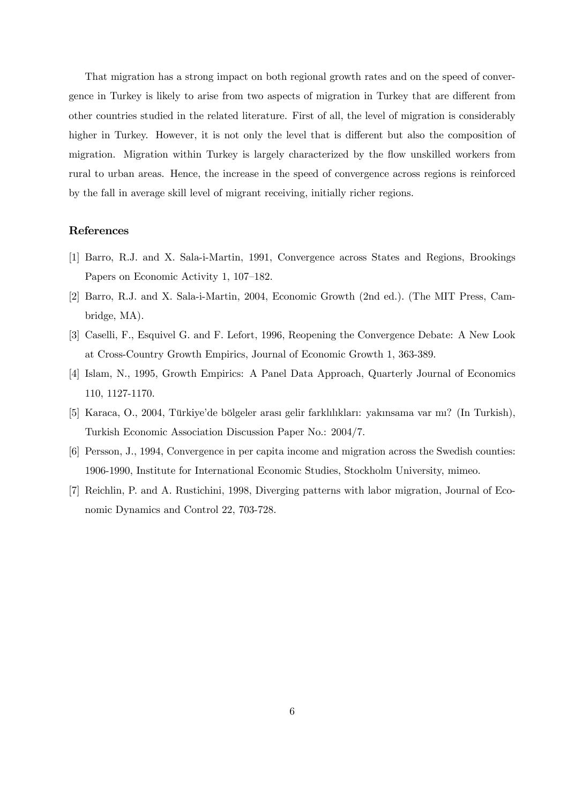That migration has a strong impact on both regional growth rates and on the speed of convergence in Turkey is likely to arise from two aspects of migration in Turkey that are different from other countries studied in the related literature. First of all, the level of migration is considerably higher in Turkey. However, it is not only the level that is different but also the composition of migration. Migration within Turkey is largely characterized by the flow unskilled workers from rural to urban areas. Hence, the increase in the speed of convergence across regions is reinforced by the fall in average skill level of migrant receiving, initially richer regions.

#### References

- [1] Barro, R.J. and X. Sala-i-Martin, 1991, Convergence across States and Regions, Brookings Papers on Economic Activity 1, 107—182.
- [2] Barro, R.J. and X. Sala-i-Martin, 2004, Economic Growth (2nd ed.). (The MIT Press, Cambridge, MA).
- [3] Caselli, F., Esquivel G. and F. Lefort, 1996, Reopening the Convergence Debate: A New Look at Cross-Country Growth Empirics, Journal of Economic Growth 1, 363-389.
- [4] Islam, N., 1995, Growth Empirics: A Panel Data Approach, Quarterly Journal of Economics 110, 1127-1170.
- [5] Karaca, O., 2004, Türkiye'de bölgeler arası gelir farklılıkları: yakınsama var mı? (In Turkish), Turkish Economic Association Discussion Paper No.: 2004/7.
- [6] Persson, J., 1994, Convergence in per capita income and migration across the Swedish counties: 1906-1990, Institute for International Economic Studies, Stockholm University, mimeo.
- [7] Reichlin, P. and A. Rustichini, 1998, Diverging patterns with labor migration, Journal of Economic Dynamics and Control 22, 703-728.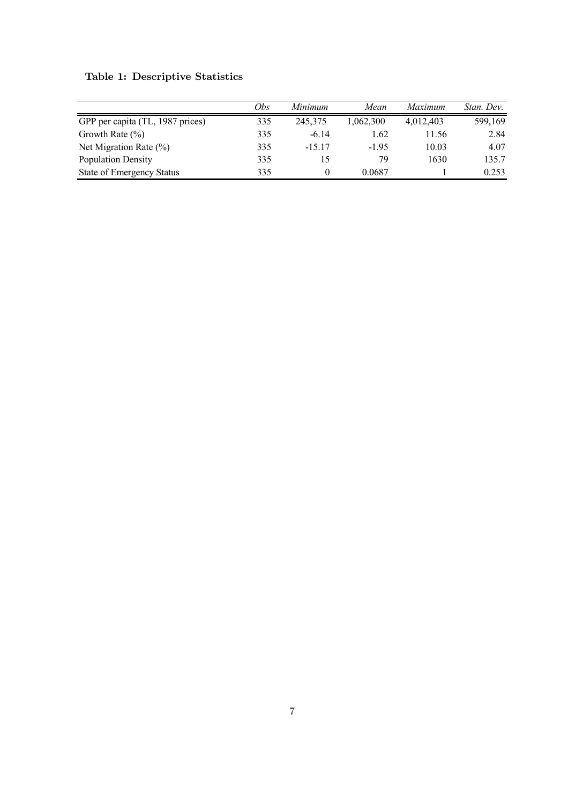|                                  | Obs | Minimum  | Mean      | Maximum   | Stan. Dev. |
|----------------------------------|-----|----------|-----------|-----------|------------|
| GPP per capita (TL, 1987 prices) | 335 | 245,375  | 1,062,300 | 4,012,403 | 599,169    |
| Growth Rate $(\% )$              | 335 | $-6.14$  | 1.62      | 11.56     | 2.84       |
| Net Migration Rate $(\%)$        | 335 | $-15.17$ | $-195$    | 10.03     | 4.07       |
| <b>Population Density</b>        | 335 |          | 79        | 1630      | 135.7      |
| <b>State of Emergency Status</b> | 335 |          | 0.0687    |           | 0.253      |

Table 1: Descriptive Statistics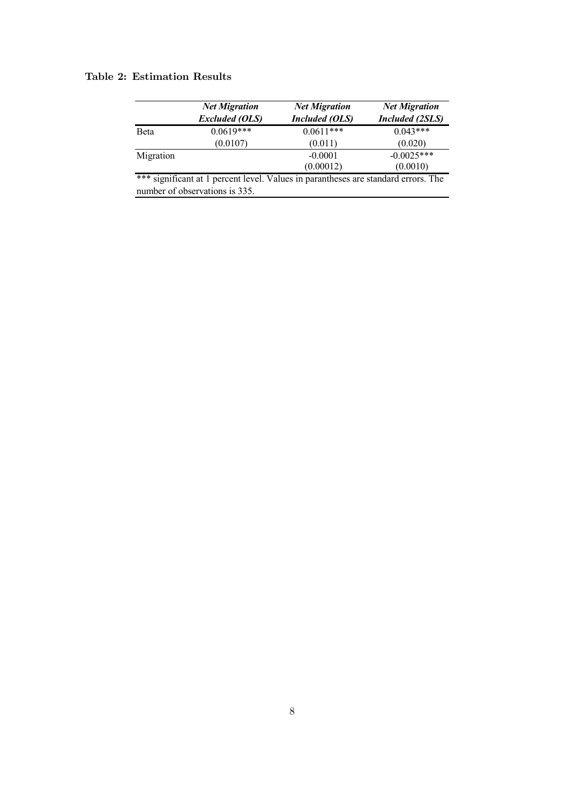#### Table 2: Estimation Results

|              | <b>Net Migration</b>                                                               | <b>Net Migration</b>  | <b>Net Migration</b>   |  |
|--------------|------------------------------------------------------------------------------------|-----------------------|------------------------|--|
|              | <b>Excluded (OLS)</b>                                                              | <b>Included</b> (OLS) | <b>Included</b> (2SLS) |  |
| <b>B</b> eta | $0.0619***$                                                                        | $0.0611***$           | $0.043***$             |  |
|              | (0.0107)                                                                           | (0.011)               | (0.020)                |  |
| Migration    |                                                                                    | $-0.0001$             | $-0.0025***$           |  |
|              |                                                                                    | (0.00012)             | (0.0010)               |  |
|              | *** significant at 1 percent level. Values in parantheses are standard errors. The |                       |                        |  |
|              | number of observations is 335.                                                     |                       |                        |  |